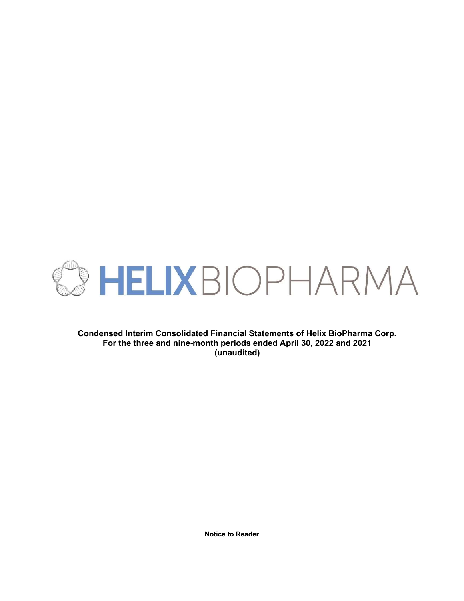

Condensed Interim Consolidated Financial Statements of Helix BioPharma Corp. For the three and nine-month periods ended April 30, 2022 and 2021 (unaudited)

Notice to Reader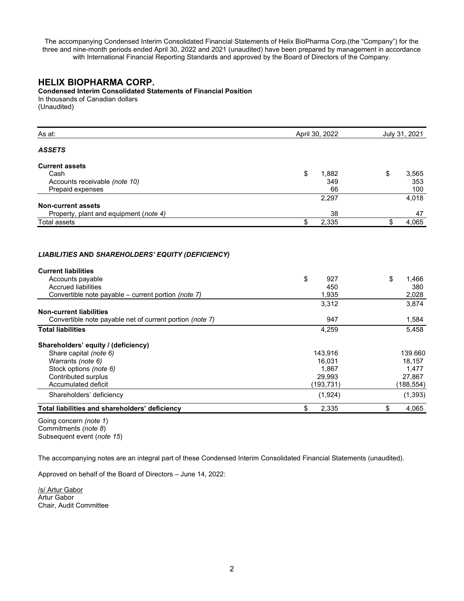The accompanying Condensed Interim Consolidated Financial Statements of Helix BioPharma Corp.(the "Company") for the three and nine-month periods ended April 30, 2022 and 2021 (unaudited) have been prepared by management in accordance with International Financial Reporting Standards and approved by the Board of Directors of the Company.

# HELIX BIOPHARMA CORP.

Condensed Interim Consolidated Statements of Financial Position In thousands of Canadian dollars

(Unaudited)

| As at:                                                                                                                              | April 30, 2022            | July 31, 2021               |
|-------------------------------------------------------------------------------------------------------------------------------------|---------------------------|-----------------------------|
| <b>ASSETS</b>                                                                                                                       |                           |                             |
| <b>Current assets</b>                                                                                                               |                           |                             |
| Cash                                                                                                                                | \$<br>1,882               | \$<br>3,565                 |
| Accounts receivable (note 10)                                                                                                       | 349                       | 353                         |
| Prepaid expenses                                                                                                                    | 66                        | 100                         |
|                                                                                                                                     | 2,297                     | 4,018                       |
| <b>Non-current assets</b>                                                                                                           |                           |                             |
| Property, plant and equipment (note 4)                                                                                              | 38                        | 47                          |
| <b>Total assets</b>                                                                                                                 | 2,335<br>\$               | 4,065<br>\$                 |
| <b>Current liabilities</b><br>Accounts payable<br><b>Accrued liabilities</b><br>Convertible note payable - current portion (note 7) | \$<br>927<br>450<br>1,935 | \$<br>1,466<br>380<br>2,028 |
|                                                                                                                                     |                           |                             |
| <b>Non-current liabilities</b>                                                                                                      | 3,312                     | 3,874                       |
| Convertible note payable net of current portion (note 7)                                                                            | 947                       | 1,584                       |
| <b>Total liabilities</b>                                                                                                            | 4,259                     | 5,458                       |
| Shareholders' equity / (deficiency)                                                                                                 |                           |                             |
| Share capital (note 6)                                                                                                              | 143,916                   | 139.660                     |
| Warrants (note 6)                                                                                                                   | 16,031                    | 18,157                      |
| Stock options (note 6)                                                                                                              | 1,867                     | 1,477                       |
| <b>Contributed surplus</b>                                                                                                          | 29,993                    | 27,867                      |

Total liabilities and shareholders' deficiency and the state of the state of the state of the 4,065 state of the 4,065

Going concern (note 1) Commitments (note 8) Subsequent event (note 15)

The accompanying notes are an integral part of these Condensed Interim Consolidated Financial Statements (unaudited).

Accumulated deficit (193,731) (188,554) Shareholders' deficiency (1,393) (1,393)

Approved on behalf of the Board of Directors – June 14, 2022:

/s/ Artur Gabor Artur Gabor Chair, Audit Committee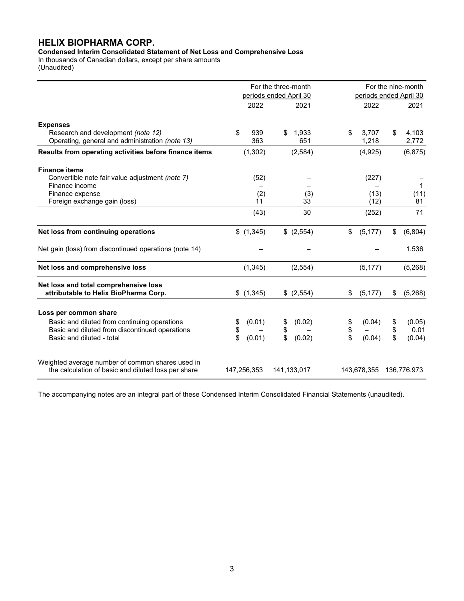# HELIX BIOPHARMA CORP.

Condensed Interim Consolidated Statement of Net Loss and Comprehensive Loss

In thousands of Canadian dollars, except per share amounts (Unaudited)

|                                                                                                                                                      | For the three-month<br>periods ended April 30 |                                    |                                    | For the nine-month                         |
|------------------------------------------------------------------------------------------------------------------------------------------------------|-----------------------------------------------|------------------------------------|------------------------------------|--------------------------------------------|
|                                                                                                                                                      | 2022                                          | 2021                               | 2022                               | periods ended April 30<br>2021             |
| <b>Expenses</b><br>Research and development (note 12)<br>Operating, general and administration (note 13)                                             | \$<br>939<br>363                              | 1,933<br>651                       | \$<br>3,707<br>1,218               | \$<br>4,103<br>2,772                       |
| Results from operating activities before finance items                                                                                               | (1, 302)                                      | (2,584)                            | (4,925)                            | (6, 875)                                   |
| <b>Finance items</b><br>Convertible note fair value adjustment (note 7)<br>Finance income<br>Finance expense<br>Foreign exchange gain (loss)         | (52)<br>(2)<br>11                             | (3)<br>33                          | (227)<br>(13)<br>(12)              | $\mathbf 1$<br>(11)<br>81                  |
|                                                                                                                                                      | (43)                                          | 30                                 | (252)                              | 71                                         |
| Net loss from continuing operations                                                                                                                  | \$(1,345)                                     | \$ (2,554)                         | \$<br>(5, 177)                     | \$<br>(6,804)                              |
| Net gain (loss) from discontinued operations (note 14)                                                                                               |                                               |                                    |                                    | 1,536                                      |
| Net loss and comprehensive loss                                                                                                                      | (1, 345)                                      | (2, 554)                           | (5, 177)                           | (5,268)                                    |
| Net loss and total comprehensive loss<br>attributable to Helix BioPharma Corp.                                                                       | \$(1,345)                                     | \$ (2,554)                         | (5, 177)<br>\$                     | (5,268)<br>\$                              |
| Loss per common share<br>Basic and diluted from continuing operations<br>Basic and diluted from discontinued operations<br>Basic and diluted - total | (0.01)<br>\$<br>\$<br>\$<br>(0.01)            | \$<br>(0.02)<br>\$<br>\$<br>(0.02) | (0.04)<br>\$<br>\$<br>\$<br>(0.04) | \$<br>(0.05)<br>\$<br>0.01<br>\$<br>(0.04) |
| Weighted average number of common shares used in<br>the calculation of basic and diluted loss per share                                              | 147,256,353                                   | 141,133,017                        | 143,678,355                        | 136,776,973                                |

The accompanying notes are an integral part of these Condensed Interim Consolidated Financial Statements (unaudited).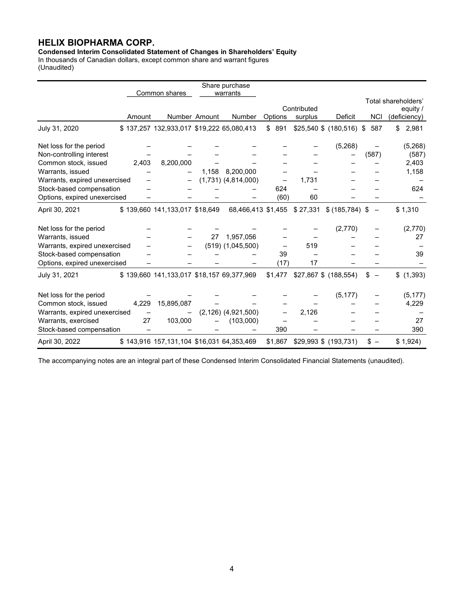# HELIX BIOPHARMA CORP.

Condensed Interim Consolidated Statement of Changes in Shareholders' Equity

In thousands of Canadian dollars, except common share and warrant figures (Unaudited)

|                               |        |                                           |               | Share purchase          |         |                       |                           |                          |                     |
|-------------------------------|--------|-------------------------------------------|---------------|-------------------------|---------|-----------------------|---------------------------|--------------------------|---------------------|
|                               |        | Common shares                             |               | warrants                |         |                       |                           |                          | Total shareholders' |
|                               |        |                                           |               |                         |         | Contributed           |                           |                          | equity /            |
|                               | Amount |                                           | Number Amount | Number                  | Options | surplus               | Deficit                   | <b>NCI</b>               | (deficiency)        |
| July 31, 2020                 |        | \$137,257 132,933,017 \$19,222 65,080,413 |               |                         | \$891   |                       | $$25,540$ \$ (180,516) \$ | 587                      | 2,981<br>\$         |
| Net loss for the period       |        |                                           |               |                         |         |                       | (5,268)                   |                          | (5,268)             |
| Non-controlling interest      |        |                                           |               |                         |         |                       |                           | (587)                    | (587)               |
| Common stock, issued          | 2,403  | 8,200,000                                 |               |                         |         |                       |                           |                          | 2,403               |
| Warrants, issued              |        |                                           | 1,158         | 8,200,000               |         |                       |                           |                          | 1,158               |
| Warrants, expired unexercised |        |                                           |               | $(1,731)$ $(4,814,000)$ |         | 1,731                 |                           |                          |                     |
| Stock-based compensation      |        |                                           |               |                         | 624     |                       |                           |                          | 624                 |
| Options, expired unexercised  |        |                                           |               |                         | (60)    | 60                    |                           |                          |                     |
| April 30, 2021                |        | \$139,660 141,133,017 \$18,649            |               | 68,466,413 \$1,455      |         | \$27,331              | \$ (185, 784) \$          | $\overline{\phantom{m}}$ | \$1,310             |
| Net loss for the period       |        |                                           |               |                         |         |                       | (2,770)                   |                          | (2,770)             |
| Warrants, issued              |        |                                           | 27            | 1,957,056               |         |                       |                           |                          | 27                  |
| Warrants, expired unexercised |        |                                           |               | $(519)$ $(1,045,500)$   |         | 519                   |                           |                          |                     |
| Stock-based compensation      |        |                                           |               |                         | 39      |                       |                           |                          | 39                  |
| Options, expired unexercised  |        |                                           |               |                         | (17)    | 17                    |                           |                          |                     |
| July 31, 2021                 |        | \$139,660 141,133,017 \$18,157 69,377,969 |               |                         | \$1,477 | \$27,867 \$ (188,554) |                           | \$                       | \$<br>(1, 393)      |
| Net loss for the period       |        |                                           |               |                         |         |                       | (5, 177)                  |                          | (5, 177)            |
| Common stock, issued          | 4,229  | 15,895,087                                |               |                         |         |                       |                           |                          | 4,229               |
| Warrants, expired unexercised |        |                                           |               | $(2,126)$ $(4,921,500)$ |         | 2,126                 |                           |                          |                     |
| Warrants, exercised           | 27     | 103,000                                   |               | (103,000)               |         |                       |                           |                          | 27                  |
| Stock-based compensation      |        |                                           |               |                         | 390     |                       |                           |                          | 390                 |
| April 30, 2022                |        | \$143,916 157,131,104 \$16,031 64,353,469 |               |                         | \$1,867 | \$29,993 \$ (193,731) |                           | \$ –                     | \$1,924)            |

The accompanying notes are an integral part of these Condensed Interim Consolidated Financial Statements (unaudited).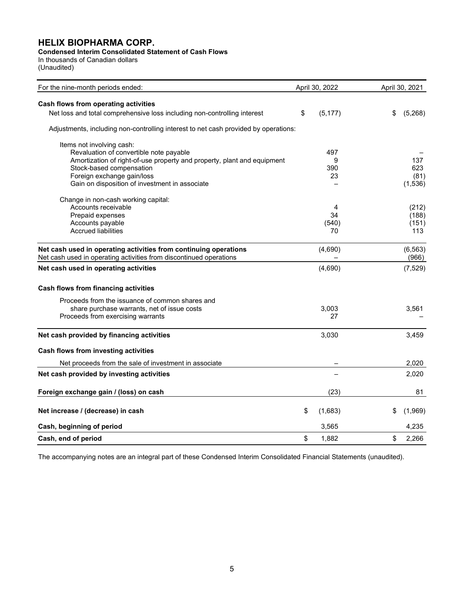# HELIX BIOPHARMA CORP.

# Condensed Interim Consolidated Statement of Cash Flows

In thousands of Canadian dollars (Unaudited)

| For the nine-month periods ended:                                                   | April 30, 2022 | April 30, 2021 |          |  |
|-------------------------------------------------------------------------------------|----------------|----------------|----------|--|
| Cash flows from operating activities                                                |                |                |          |  |
| Net loss and total comprehensive loss including non-controlling interest            | \$<br>(5, 177) | \$             | (5,268)  |  |
| Adjustments, including non-controlling interest to net cash provided by operations: |                |                |          |  |
| Items not involving cash:                                                           |                |                |          |  |
| Revaluation of convertible note payable                                             | 497            |                |          |  |
| Amortization of right-of-use property and property, plant and equipment             | 9              |                | 137      |  |
| Stock-based compensation                                                            | 390            |                | 623      |  |
| Foreign exchange gain/loss                                                          | 23             |                | (81)     |  |
| Gain on disposition of investment in associate                                      |                |                | (1,536)  |  |
| Change in non-cash working capital:                                                 |                |                |          |  |
| Accounts receivable                                                                 | 4              |                | (212)    |  |
| Prepaid expenses                                                                    | 34             |                | (188)    |  |
| Accounts payable                                                                    | (540)          |                | (151)    |  |
| <b>Accrued liabilities</b>                                                          | 70             |                | 113      |  |
| Net cash used in operating activities from continuing operations                    | (4,690)        |                | (6, 563) |  |
| Net cash used in operating activities from discontinued operations                  |                |                | (966)    |  |
| Net cash used in operating activities                                               | (4,690)        |                | (7, 529) |  |
| Cash flows from financing activities                                                |                |                |          |  |
| Proceeds from the issuance of common shares and                                     |                |                |          |  |
| share purchase warrants, net of issue costs                                         | 3,003          |                | 3,561    |  |
| Proceeds from exercising warrants                                                   | 27             |                |          |  |
|                                                                                     |                |                |          |  |
| Net cash provided by financing activities                                           | 3,030          |                | 3,459    |  |
| Cash flows from investing activities                                                |                |                |          |  |
| Net proceeds from the sale of investment in associate                               |                |                | 2,020    |  |
| Net cash provided by investing activities                                           |                |                | 2,020    |  |
| Foreign exchange gain / (loss) on cash                                              | (23)           |                | 81       |  |
|                                                                                     |                |                |          |  |
| Net increase / (decrease) in cash                                                   | \$<br>(1,683)  | \$             | (1,969)  |  |
| Cash, beginning of period                                                           | 3,565          |                | 4,235    |  |
| Cash, end of period                                                                 | \$<br>1,882    | \$             | 2,266    |  |

The accompanying notes are an integral part of these Condensed Interim Consolidated Financial Statements (unaudited).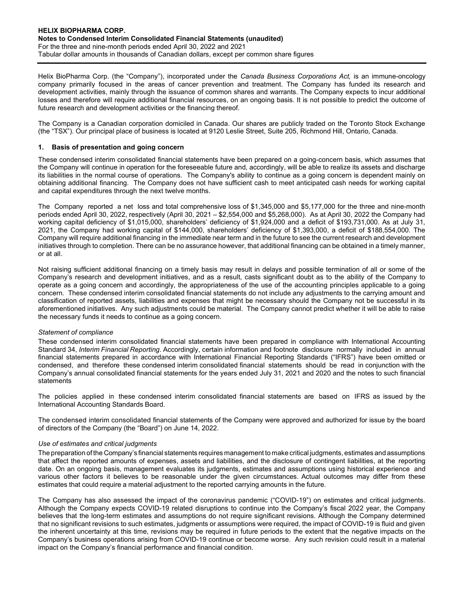Helix BioPharma Corp. (the "Company"), incorporated under the Canada Business Corporations Act, is an immune-oncology company primarily focused in the areas of cancer prevention and treatment. The Company has funded its research and development activities, mainly through the issuance of common shares and warrants. The Company expects to incur additional losses and therefore will require additional financial resources, on an ongoing basis. It is not possible to predict the outcome of future research and development activities or the financing thereof.

The Company is a Canadian corporation domiciled in Canada. Our shares are publicly traded on the Toronto Stock Exchange (the "TSX"). Our principal place of business is located at 9120 Leslie Street, Suite 205, Richmond Hill, Ontario, Canada.

## 1. Basis of presentation and going concern

These condensed interim consolidated financial statements have been prepared on a going-concern basis, which assumes that the Company will continue in operation for the foreseeable future and, accordingly, will be able to realize its assets and discharge its liabilities in the normal course of operations. The Company's ability to continue as a going concern is dependent mainly on obtaining additional financing. The Company does not have sufficient cash to meet anticipated cash needs for working capital and capital expenditures through the next twelve months.

The Company reported a net loss and total comprehensive loss of \$1,345,000 and \$5,177,000 for the three and nine-month periods ended April 30, 2022, respectively (April 30, 2021 – \$2,554,000 and \$5,268,000). As at April 30, 2022 the Company had working capital deficiency of \$1,015,000, shareholders' deficiency of \$1,924,000 and a deficit of \$193,731,000. As at July 31, 2021, the Company had working capital of \$144,000, shareholders' deficiency of \$1,393,000, a deficit of \$188,554,000. The Company will require additional financing in the immediate near term and in the future to see the current research and development initiatives through to completion. There can be no assurance however, that additional financing can be obtained in a timely manner, or at all.

Not raising sufficient additional financing on a timely basis may result in delays and possible termination of all or some of the Company's research and development initiatives, and as a result, casts significant doubt as to the ability of the Company to operate as a going concern and accordingly, the appropriateness of the use of the accounting principles applicable to a going concern. These condensed interim consolidated financial statements do not include any adjustments to the carrying amount and classification of reported assets, liabilities and expenses that might be necessary should the Company not be successful in its aforementioned initiatives. Any such adjustments could be material. The Company cannot predict whether it will be able to raise the necessary funds it needs to continue as a going concern.

#### Statement of compliance

These condensed interim consolidated financial statements have been prepared in compliance with International Accounting Standard 34, Interim Financial Reporting. Accordingly, certain information and footnote disclosure normally included in annual financial statements prepared in accordance with International Financial Reporting Standards ("IFRS") have been omitted or condensed, and therefore these condensed interim consolidated financial statements should be read in conjunction with the Company's annual consolidated financial statements for the years ended July 31, 2021 and 2020 and the notes to such financial statements

The policies applied in these condensed interim consolidated financial statements are based on IFRS as issued by the International Accounting Standards Board.

The condensed interim consolidated financial statements of the Company were approved and authorized for issue by the board of directors of the Company (the "Board") on June 14, 2022.

#### Use of estimates and critical judgments

The preparation of the Company's financial statements requires management to make critical judgments, estimates and assumptions that affect the reported amounts of expenses, assets and liabilities, and the disclosure of contingent liabilities, at the reporting date. On an ongoing basis, management evaluates its judgments, estimates and assumptions using historical experience and various other factors it believes to be reasonable under the given circumstances. Actual outcomes may differ from these estimates that could require a material adjustment to the reported carrying amounts in the future.

The Company has also assessed the impact of the coronavirus pandemic ("COVID-19") on estimates and critical judgments. Although the Company expects COVID-19 related disruptions to continue into the Company's fiscal 2022 year, the Company believes that the long-term estimates and assumptions do not require significant revisions. Although the Company determined that no significant revisions to such estimates, judgments or assumptions were required, the impact of COVID-19 is fluid and given the inherent uncertainty at this time, revisions may be required in future periods to the extent that the negative impacts on the Company's business operations arising from COVID-19 continue or become worse. Any such revision could result in a material impact on the Company's financial performance and financial condition.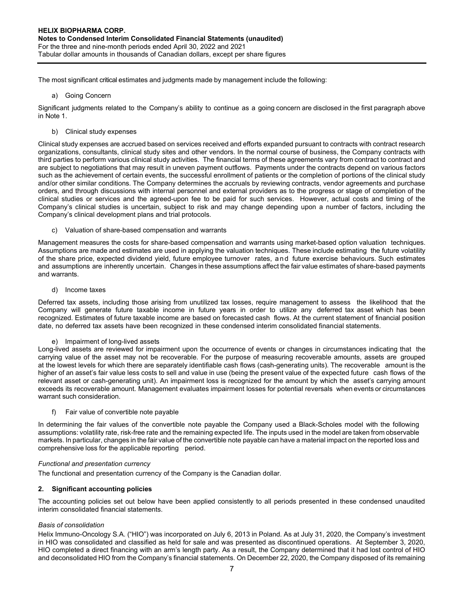The most significant critical estimates and judgments made by management include the following:

a) Going Concern

Significant judgments related to the Company's ability to continue as a going concern are disclosed in the first paragraph above in Note 1.

b) Clinical study expenses

Clinical study expenses are accrued based on services received and efforts expanded pursuant to contracts with contract research organizations, consultants, clinical study sites and other vendors. In the normal course of business, the Company contracts with third parties to perform various clinical study activities. The financial terms of these agreements vary from contract to contract and are subject to negotiations that may result in uneven payment outflows. Payments under the contracts depend on various factors such as the achievement of certain events, the successful enrollment of patients or the completion of portions of the clinical study and/or other similar conditions. The Company determines the accruals by reviewing contracts, vendor agreements and purchase orders, and through discussions with internal personnel and external providers as to the progress or stage of completion of the clinical studies or services and the agreed-upon fee to be paid for such services. However, actual costs and timing of the Company's clinical studies is uncertain, subject to risk and may change depending upon a number of factors, including the Company's clinical development plans and trial protocols.

c) Valuation of share-based compensation and warrants

Management measures the costs for share-based compensation and warrants using market-based option valuation techniques. Assumptions are made and estimates are used in applying the valuation techniques. These include estimating the future volatility of the share price, expected dividend yield, future employee turnover rates, a n d future exercise behaviours. Such estimates and assumptions are inherently uncertain. Changes in these assumptions affect the fair value estimates of share-based payments and warrants.

d) Income taxes

Deferred tax assets, including those arising from unutilized tax losses, require management to assess the likelihood that the Company will generate future taxable income in future years in order to utilize any deferred tax asset which has been recognized. Estimates of future taxable income are based on forecasted cash flows. At the current statement of financial position date, no deferred tax assets have been recognized in these condensed interim consolidated financial statements.

# e) Impairment of long-lived assets

Long-lived assets are reviewed for impairment upon the occurrence of events or changes in circumstances indicating that the carrying value of the asset may not be recoverable. For the purpose of measuring recoverable amounts, assets are grouped at the lowest levels for which there are separately identifiable cash flows (cash-generating units). The recoverable amount is the higher of an asset's fair value less costs to sell and value in use (being the present value of the expected future cash flows of the relevant asset or cash-generating unit). An impairment loss is recognized for the amount by which the asset's carrying amount exceeds its recoverable amount. Management evaluates impairment losses for potential reversals when events or circumstances warrant such consideration.

f) Fair value of convertible note payable

In determining the fair values of the convertible note payable the Company used a Black-Scholes model with the following assumptions: volatility rate, risk-free rate and the remaining expected life. The inputs used in the model are taken from observable markets. In particular, changes in the fair value of the convertible note payable can have a material impact on the reported loss and comprehensive loss for the applicable reporting period.

# Functional and presentation currency

The functional and presentation currency of the Company is the Canadian dollar.

# 2. Significant accounting policies

The accounting policies set out below have been applied consistently to all periods presented in these condensed unaudited interim consolidated financial statements.

# Basis of consolidation

Helix Immuno-Oncology S.A. ("HIO") was incorporated on July 6, 2013 in Poland. As at July 31, 2020, the Company's investment in HIO was consolidated and classified as held for sale and was presented as discontinued operations. At September 3, 2020, HIO completed a direct financing with an arm's length party. As a result, the Company determined that it had lost control of HIO and deconsolidated HIO from the Company's financial statements. On December 22, 2020, the Company disposed of its remaining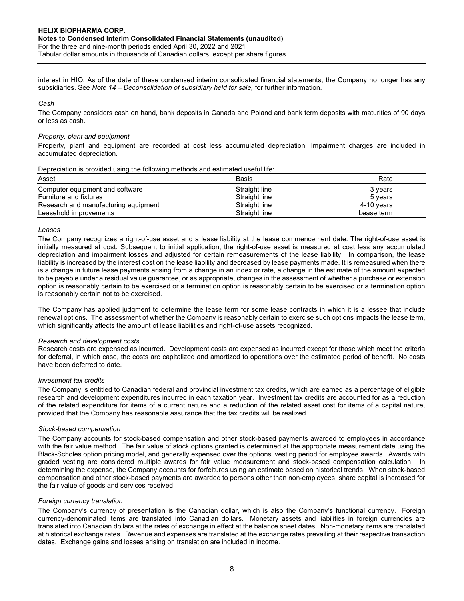Tabular dollar amounts in thousands of Canadian dollars, except per share figures

interest in HIO. As of the date of these condensed interim consolidated financial statements, the Company no longer has any subsidiaries. See Note 14 – Deconsolidation of subsidiary held for sale, for further information.

Cash

The Company considers cash on hand, bank deposits in Canada and Poland and bank term deposits with maturities of 90 days or less as cash.

## Property, plant and equipment

Property, plant and equipment are recorded at cost less accumulated depreciation. Impairment charges are included in accumulated depreciation.

## Depreciation is provided using the following methods and estimated useful life:

| Asset                                | Basis         | Rate         |
|--------------------------------------|---------------|--------------|
| Computer equipment and software      | Straight line | 3 years      |
| Furniture and fixtures               | Straight line | 5 years      |
| Research and manufacturing equipment | Straight line | $4-10$ years |
| Leasehold improvements               | Straight line | Lease term   |

## Leases

The Company recognizes a right-of-use asset and a lease liability at the lease commencement date. The right-of-use asset is initially measured at cost. Subsequent to initial application, the right-of-use asset is measured at cost less any accumulated depreciation and impairment losses and adjusted for certain remeasurements of the lease liability. In comparison, the lease liability is increased by the interest cost on the lease liability and decreased by lease payments made. It is remeasured when there is a change in future lease payments arising from a change in an index or rate, a change in the estimate of the amount expected to be payable under a residual value guarantee, or as appropriate, changes in the assessment of whether a purchase or extension option is reasonably certain to be exercised or a termination option is reasonably certain to be exercised or a termination option is reasonably certain not to be exercised.

The Company has applied judgment to determine the lease term for some lease contracts in which it is a lessee that include renewal options. The assessment of whether the Company is reasonably certain to exercise such options impacts the lease term, which significantly affects the amount of lease liabilities and right-of-use assets recognized.

# Research and development costs

Research costs are expensed as incurred. Development costs are expensed as incurred except for those which meet the criteria for deferral, in which case, the costs are capitalized and amortized to operations over the estimated period of benefit. No costs have been deferred to date.

#### Investment tax credits

The Company is entitled to Canadian federal and provincial investment tax credits, which are earned as a percentage of eligible research and development expenditures incurred in each taxation year. Investment tax credits are accounted for as a reduction of the related expenditure for items of a current nature and a reduction of the related asset cost for items of a capital nature, provided that the Company has reasonable assurance that the tax credits will be realized.

#### Stock-based compensation

The Company accounts for stock-based compensation and other stock-based payments awarded to employees in accordance with the fair value method. The fair value of stock options granted is determined at the appropriate measurement date using the Black-Scholes option pricing model, and generally expensed over the options' vesting period for employee awards. Awards with graded vesting are considered multiple awards for fair value measurement and stock-based compensation calculation. In determining the expense, the Company accounts for forfeitures using an estimate based on historical trends. When stock-based compensation and other stock-based payments are awarded to persons other than non-employees, share capital is increased for the fair value of goods and services received.

# Foreign currency translation

The Company's currency of presentation is the Canadian dollar, which is also the Company's functional currency. Foreign currency-denominated items are translated into Canadian dollars. Monetary assets and liabilities in foreign currencies are translated into Canadian dollars at the rates of exchange in effect at the balance sheet dates. Non-monetary items are translated at historical exchange rates. Revenue and expenses are translated at the exchange rates prevailing at their respective transaction dates. Exchange gains and losses arising on translation are included in income.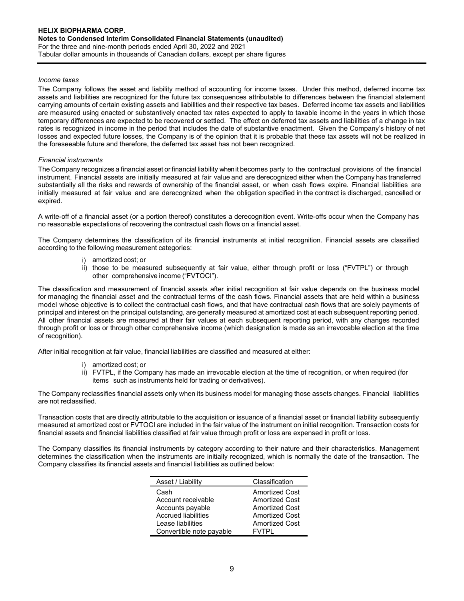## Income taxes

The Company follows the asset and liability method of accounting for income taxes. Under this method, deferred income tax assets and liabilities are recognized for the future tax consequences attributable to differences between the financial statement carrying amounts of certain existing assets and liabilities and their respective tax bases. Deferred income tax assets and liabilities are measured using enacted or substantively enacted tax rates expected to apply to taxable income in the years in which those temporary differences are expected to be recovered or settled. The effect on deferred tax assets and liabilities of a change in tax rates is recognized in income in the period that includes the date of substantive enactment. Given the Company's history of net losses and expected future losses, the Company is of the opinion that it is probable that these tax assets will not be realized in the foreseeable future and therefore, the deferred tax asset has not been recognized.

#### Financial instruments

The Company recognizes a financial asset or financial liability when it becomes party to the contractual provisions of the financial instrument. Financial assets are initially measured at fair value and are derecognized either when the Company has transferred substantially all the risks and rewards of ownership of the financial asset, or when cash flows expire. Financial liabilities are initially measured at fair value and are derecognized when the obligation specified in the contract is discharged, cancelled or expired.

A write-off of a financial asset (or a portion thereof) constitutes a derecognition event. Write-offs occur when the Company has no reasonable expectations of recovering the contractual cash flows on a financial asset.

The Company determines the classification of its financial instruments at initial recognition. Financial assets are classified according to the following measurement categories:

- i) amortized cost; or
- ii) those to be measured subsequently at fair value, either through profit or loss ("FVTPL") or through other comprehensive income ("FVTOCI").

The classification and measurement of financial assets after initial recognition at fair value depends on the business model for managing the financial asset and the contractual terms of the cash flows. Financial assets that are held within a business model whose objective is to collect the contractual cash flows, and that have contractual cash flows that are solely payments of principal and interest on the principal outstanding, are generally measured at amortized cost at each subsequent reporting period. All other financial assets are measured at their fair values at each subsequent reporting period, with any changes recorded through profit or loss or through other comprehensive income (which designation is made as an irrevocable election at the time of recognition).

After initial recognition at fair value, financial liabilities are classified and measured at either:

- i) amortized cost; or
- ii) FVTPL, if the Company has made an irrevocable election at the time of recognition, or when required (for items such as instruments held for trading or derivatives).

The Company reclassifies financial assets only when its business model for managing those assets changes. Financial liabilities are not reclassified.

Transaction costs that are directly attributable to the acquisition or issuance of a financial asset or financial liability subsequently measured at amortized cost or FVTOCI are included in the fair value of the instrument on initial recognition. Transaction costs for financial assets and financial liabilities classified at fair value through profit or loss are expensed in profit or loss.

The Company classifies its financial instruments by category according to their nature and their characteristics. Management determines the classification when the instruments are initially recognized, which is normally the date of the transaction. The Company classifies its financial assets and financial liabilities as outlined below:

| Asset / Liability          | Classification        |
|----------------------------|-----------------------|
| Cash                       | <b>Amortized Cost</b> |
| Account receivable         | <b>Amortized Cost</b> |
| Accounts payable           | <b>Amortized Cost</b> |
| <b>Accrued liabilities</b> | <b>Amortized Cost</b> |
| Lease liabilities          | <b>Amortized Cost</b> |
| Convertible note payable   | FV I PL               |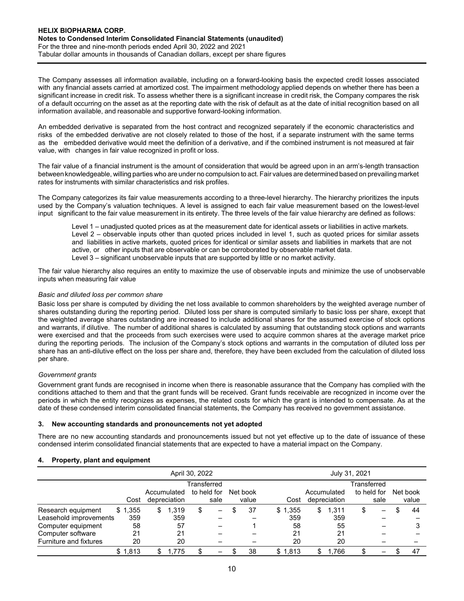The Company assesses all information available, including on a forward-looking basis the expected credit losses associated with any financial assets carried at amortized cost. The impairment methodology applied depends on whether there has been a significant increase in credit risk. To assess whether there is a significant increase in credit risk, the Company compares the risk of a default occurring on the asset as at the reporting date with the risk of default as at the date of initial recognition based on all information available, and reasonable and supportive forward-looking information.

An embedded derivative is separated from the host contract and recognized separately if the economic characteristics and risks of the embedded derivative are not closely related to those of the host, if a separate instrument with the same terms as the embedded derivative would meet the definition of a derivative, and if the combined instrument is not measured at fair value, with changes in fair value recognized in profit or loss.

The fair value of a financial instrument is the amount of consideration that would be agreed upon in an arm's-length transaction between knowledgeable, willing parties who are under no compulsion to act. Fair values are determined based on prevailing market rates for instruments with similar characteristics and risk profiles.

The Company categorizes its fair value measurements according to a three-level hierarchy. The hierarchy prioritizes the inputs used by the Company's valuation techniques. A level is assigned to each fair value measurement based on the lowest-level input significant to the fair value measurement in its entirety. The three levels of the fair value hierarchy are defined as follows:

Level 1 – unadjusted quoted prices as at the measurement date for identical assets or liabilities in active markets. Level 2 – observable inputs other than quoted prices included in level 1, such as quoted prices for similar assets and liabilities in active markets, quoted prices for identical or similar assets and liabilities in markets that are not active, or other inputs that are observable or can be corroborated by observable market data. Level 3 – significant unobservable inputs that are supported by little or no market activity.

The fair value hierarchy also requires an entity to maximize the use of observable inputs and minimize the use of unobservable inputs when measuring fair value

# Basic and diluted loss per common share

Basic loss per share is computed by dividing the net loss available to common shareholders by the weighted average number of shares outstanding during the reporting period. Diluted loss per share is computed similarly to basic loss per share, except that the weighted average shares outstanding are increased to include additional shares for the assumed exercise of stock options and warrants, if dilutive. The number of additional shares is calculated by assuming that outstanding stock options and warrants were exercised and that the proceeds from such exercises were used to acquire common shares at the average market price during the reporting periods. The inclusion of the Company's stock options and warrants in the computation of diluted loss per share has an anti-dilutive effect on the loss per share and, therefore, they have been excluded from the calculation of diluted loss per share.

# Government grants

Government grant funds are recognised in income when there is reasonable assurance that the Company has complied with the conditions attached to them and that the grant funds will be received. Grant funds receivable are recognized in income over the periods in which the entity recognizes as expenses, the related costs for which the grant is intended to compensate. As at the date of these condensed interim consolidated financial statements, the Company has received no government assistance.

# 3. New accounting standards and pronouncements not yet adopted

There are no new accounting standards and pronouncements issued but not yet effective up to the date of issuance of these condensed interim consolidated financial statements that are expected to have a material impact on the Company.

# 4. Property, plant and equipment

|                        |         | April 30, 2022 |   |                             |   |                     |  |                   |         | July 31, 2021               |             |      |                   |
|------------------------|---------|----------------|---|-----------------------------|---|---------------------|--|-------------------|---------|-----------------------------|-------------|------|-------------------|
|                        |         | Transferred    |   |                             |   |                     |  |                   |         |                             | Transferred |      |                   |
|                        | Cost    |                |   | Accumulated<br>depreciation |   | to held for<br>sale |  | Net book<br>value | Cost    | Accumulated<br>depreciation | to held for | sale | Net book<br>value |
| Research equipment     | \$1,355 |                | S | 1,319                       | S |                     |  | 37                | \$1,355 | \$<br>1.311                 | S           | -    | 44                |
| Leasehold improvements |         | 359            |   | 359                         |   |                     |  |                   | 359     | 359                         |             |      |                   |
| Computer equipment     |         | 58             |   | 57                          |   |                     |  |                   | 58      | 55                          |             |      |                   |
| Computer software      |         | 21             |   | 21                          |   |                     |  |                   | 21      | 21                          |             |      |                   |
| Furniture and fixtures |         | 20             |   | 20                          |   |                     |  |                   | 20      | 20                          |             |      |                   |
|                        | \$1,813 |                |   | .775                        |   | -                   |  | 38                | \$1,813 | 1.766                       |             | -    | -47               |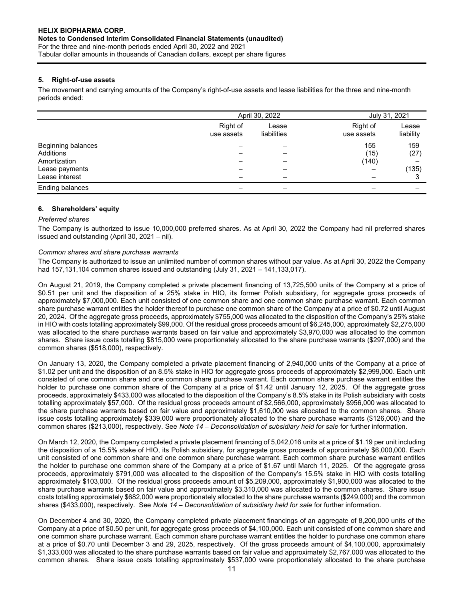# 5. Right-of-use assets

The movement and carrying amounts of the Company's right-of-use assets and lease liabilities for the three and nine-month periods ended:

|                                                                                     |                        | April 30, 2022       |                                                  |                      |
|-------------------------------------------------------------------------------------|------------------------|----------------------|--------------------------------------------------|----------------------|
|                                                                                     | Right of<br>use assets | Lease<br>liabilities | Right of<br>use assets                           | Lease<br>liability   |
| Beginning balances<br>Additions<br>Amortization<br>Lease payments<br>Lease interest |                        | -                    | 155<br>(15)<br>(140)<br>$\overline{\phantom{0}}$ | 159<br>(27)<br>(135) |
| Ending balances                                                                     |                        |                      |                                                  |                      |

# 6. Shareholders' equity

## Preferred shares

The Company is authorized to issue 10,000,000 preferred shares. As at April 30, 2022 the Company had nil preferred shares issued and outstanding (April 30, 2021 – nil).

# Common shares and share purchase warrants

The Company is authorized to issue an unlimited number of common shares without par value. As at April 30, 2022 the Company had 157,131,104 common shares issued and outstanding (July 31, 2021 – 141,133,017).

On August 21, 2019, the Company completed a private placement financing of 13,725,500 units of the Company at a price of \$0.51 per unit and the disposition of a 25% stake in HIO, its former Polish subsidiary, for aggregate gross proceeds of approximately \$7,000,000. Each unit consisted of one common share and one common share purchase warrant. Each common share purchase warrant entitles the holder thereof to purchase one common share of the Company at a price of \$0.72 until August 20, 2024. Of the aggregate gross proceeds, approximately \$755,000 was allocated to the disposition of the Company's 25% stake in HIO with costs totalling approximately \$99,000. Of the residual gross proceeds amount of \$6,245,000, approximately \$2,275,000 was allocated to the share purchase warrants based on fair value and approximately \$3,970,000 was allocated to the common shares. Share issue costs totalling \$815,000 were proportionately allocated to the share purchase warrants (\$297,000) and the common shares (\$518,000), respectively.

On January 13, 2020, the Company completed a private placement financing of 2,940,000 units of the Company at a price of \$1.02 per unit and the disposition of an 8.5% stake in HIO for aggregate gross proceeds of approximately \$2,999,000. Each unit consisted of one common share and one common share purchase warrant. Each common share purchase warrant entitles the holder to purchase one common share of the Company at a price of \$1.42 until January 12, 2025. Of the aggregate gross proceeds, approximately \$433,000 was allocated to the disposition of the Company's 8.5% stake in its Polish subsidiary with costs totalling approximately \$57,000. Of the residual gross proceeds amount of \$2,566,000, approximately \$956,000 was allocated to the share purchase warrants based on fair value and approximately \$1,610,000 was allocated to the common shares. Share issue costs totalling approximately \$339,000 were proportionately allocated to the share purchase warrants (\$126,000) and the common shares (\$213,000), respectively. See Note 14 – Deconsolidation of subsidiary held for sale for further information.

On March 12, 2020, the Company completed a private placement financing of 5,042,016 units at a price of \$1.19 per unit including the disposition of a 15.5% stake of HIO, its Polish subsidiary, for aggregate gross proceeds of approximately \$6,000,000. Each unit consisted of one common share and one common share purchase warrant. Each common share purchase warrant entitles the holder to purchase one common share of the Company at a price of \$1.67 until March 11, 2025. Of the aggregate gross proceeds, approximately \$791,000 was allocated to the disposition of the Company's 15.5% stake in HIO with costs totalling approximately \$103,000. Of the residual gross proceeds amount of \$5,209,000, approximately \$1,900,000 was allocated to the share purchase warrants based on fair value and approximately \$3,310,000 was allocated to the common shares. Share issue costs totalling approximately \$682,000 were proportionately allocated to the share purchase warrants (\$249,000) and the common shares (\$433,000), respectively. See Note 14 – Deconsolidation of subsidiary held for sale for further information.

On December 4 and 30, 2020, the Company completed private placement financings of an aggregate of 8,200,000 units of the Company at a price of \$0.50 per unit, for aggregate gross proceeds of \$4,100,000. Each unit consisted of one common share and one common share purchase warrant. Each common share purchase warrant entitles the holder to purchase one common share at a price of \$0.70 until December 3 and 29, 2025, respectively. Of the gross proceeds amount of \$4,100,000, approximately \$1,333,000 was allocated to the share purchase warrants based on fair value and approximately \$2,767,000 was allocated to the common shares. Share issue costs totalling approximately \$537,000 were proportionately allocated to the share purchase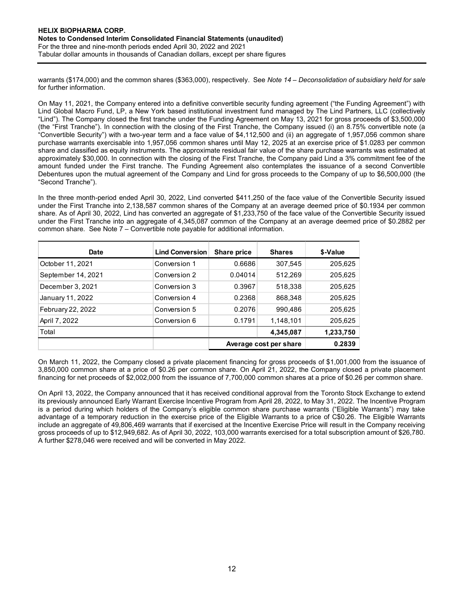warrants (\$174,000) and the common shares (\$363,000), respectively. See Note 14 – Deconsolidation of subsidiary held for sale for further information.

On May 11, 2021, the Company entered into a definitive convertible security funding agreement ("the Funding Agreement") with Lind Global Macro Fund, LP, a New York based institutional investment fund managed by The Lind Partners, LLC (collectively "Lind"). The Company closed the first tranche under the Funding Agreement on May 13, 2021 for gross proceeds of \$3,500,000 (the "First Tranche"). In connection with the closing of the First Tranche, the Company issued (i) an 8.75% convertible note (a "Convertible Security") with a two-year term and a face value of \$4,112,500 and (ii) an aggregate of 1,957,056 common share purchase warrants exercisable into 1,957,056 common shares until May 12, 2025 at an exercise price of \$1.0283 per common share and classified as equity instruments. The approximate residual fair value of the share purchase warrants was estimated at approximately \$30,000. In connection with the closing of the First Tranche, the Company paid Lind a 3% commitment fee of the amount funded under the First tranche. The Funding Agreement also contemplates the issuance of a second Convertible Debentures upon the mutual agreement of the Company and Lind for gross proceeds to the Company of up to \$6,500,000 (the "Second Tranche"). nounts in thousands or canadian dollars, except per snare ingures<br>
00) and the common shares (\$363,000), respectively. See Note 14 – Deconsolidation of subsidiary held for sale<br>
ation.<br>
1, the Company entered into a defini warrants (\$174,000) and the common shares (\$363,000), respectively. See *Note* 14 - *Deconsolidation of subsidiary held for sale*<br>
On May 11, 2021, the Company entered into a definitive convertible security funding agreeme of universion and the Company entered into a definitive convertible security funding agreement ("the Funding Agreement") with<br>
Lind"). The Company closed the first tunche tend the funding Agreement on May 13, 2021 for gros

| On May 11, 2021, the Company entered into a definitive convertible security funding agreement ("the Funding Agreement") with<br>Lind Global Macro Fund, LP, a New York based institutional investment fund managed by The Lind Partners, LLC (collectively<br>"Lind"). The Company closed the first tranche under the Funding Agreement on May 13, 2021 for gross proceeds of \$3,500,000<br>(the "First Tranche"). In connection with the closing of the First Tranche, the Company issued (i) an 8.75% convertible note (a<br>"Convertible Security") with a two-year term and a face value of \$4,112,500 and (ii) an aggregate of 1,957,056 common share<br>purchase warrants exercisable into 1,957,056 common shares until May 12, 2025 at an exercise price of \$1.0283 per common<br>share and classified as equity instruments. The approximate residual fair value of the share purchase warrants was estimated at |                                                                                 |                    |                    |                    |
|------------------------------------------------------------------------------------------------------------------------------------------------------------------------------------------------------------------------------------------------------------------------------------------------------------------------------------------------------------------------------------------------------------------------------------------------------------------------------------------------------------------------------------------------------------------------------------------------------------------------------------------------------------------------------------------------------------------------------------------------------------------------------------------------------------------------------------------------------------------------------------------------------------------------------|---------------------------------------------------------------------------------|--------------------|--------------------|--------------------|
| approximately \$30,000. In connection with the closing of the First Tranche, the Company paid Lind a 3% commitment fee of the<br>amount funded under the First tranche. The Funding Agreement also contemplates the issuance of a second Convertible<br>Debentures upon the mutual agreement of the Company and Lind for gross proceeds to the Company of up to \$6,500,000 (the<br>"Second Tranche").                                                                                                                                                                                                                                                                                                                                                                                                                                                                                                                       |                                                                                 |                    |                    |                    |
| In the three month-period ended April 30, 2022, Lind converted \$411,250 of the face value of the Convertible Security issued<br>under the First Tranche into 2,138,587 common shares of the Company at an average deemed price of \$0.1934 per common<br>share. As of April 30, 2022, Lind has converted an aggregate of \$1,233,750 of the face value of the Convertible Security issued<br>under the First Tranche into an aggregate of 4,345,087 common of the Company at an average deemed price of \$0.2882 per                                                                                                                                                                                                                                                                                                                                                                                                        | common share. See Note 7 – Convertible note payable for additional information. |                    |                    |                    |
|                                                                                                                                                                                                                                                                                                                                                                                                                                                                                                                                                                                                                                                                                                                                                                                                                                                                                                                              |                                                                                 |                    |                    |                    |
| <b>Date</b>                                                                                                                                                                                                                                                                                                                                                                                                                                                                                                                                                                                                                                                                                                                                                                                                                                                                                                                  | Lind Conversion                                                                 | <b>Share price</b> | <b>Shares</b>      | \$-Value           |
| October 11, 2021                                                                                                                                                                                                                                                                                                                                                                                                                                                                                                                                                                                                                                                                                                                                                                                                                                                                                                             | Conversion 1                                                                    | 0.6686             | 307,545            | 205,625            |
| September 14, 2021<br>December 3, 2021                                                                                                                                                                                                                                                                                                                                                                                                                                                                                                                                                                                                                                                                                                                                                                                                                                                                                       | Conversion 2<br>Conversion 3                                                    | 0.04014<br>0.3967  | 512,269            | 205,625            |
| January 11, 2022                                                                                                                                                                                                                                                                                                                                                                                                                                                                                                                                                                                                                                                                                                                                                                                                                                                                                                             | Conversion 4                                                                    | 0.2368             | 518,338<br>868,348 | 205,625<br>205,625 |
| February 22, 2022                                                                                                                                                                                                                                                                                                                                                                                                                                                                                                                                                                                                                                                                                                                                                                                                                                                                                                            | Conversion 5                                                                    | 0.2076             | 990,486            | 205,625            |
| April 7, 2022                                                                                                                                                                                                                                                                                                                                                                                                                                                                                                                                                                                                                                                                                                                                                                                                                                                                                                                | Conversion 6                                                                    | 0.1791             | 1,148,101          | 205,625            |
| Total                                                                                                                                                                                                                                                                                                                                                                                                                                                                                                                                                                                                                                                                                                                                                                                                                                                                                                                        |                                                                                 |                    | 4,345,087          | 1,233,750          |

On April 13, 2022, the Company announced that it has received conditional approval from the Toronto Stock Exchange to extend its previously announced Early Warrant Exercise Incentive Program from April 28, 2022, to May 31, 2022. The Incentive Program is a period during which holders of the Company's eligible common share purchase warrants ("Eligible Warrants") may take advantage of a temporary reduction in the exercise price of the Eligible Warrants to a price of C\$0.26. The Eligible Warrants include an aggregate of 49,806,469 warrants that if exercised at the Incentive Exercise Price will result in the Company receiving gross proceeds of up to \$12,949,682. As of April 30, 2022, 103,000 warrants exercised for a total subscription amount of \$26,780. A further \$278,046 were received and will be converted in May 2022.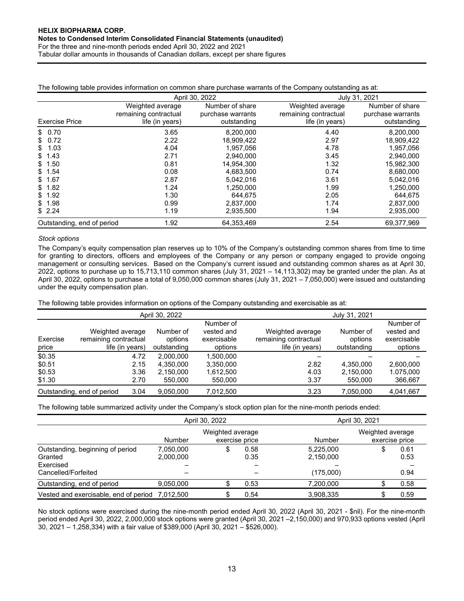Tabular dollar amounts in thousands of Canadian dollars, except per share figures

| The following table provides information on common share purchase warrants of the Company outstanding as at: |  |  |
|--------------------------------------------------------------------------------------------------------------|--|--|
|                                                                                                              |  |  |

|                            |                       | April 30, 2022    |                       | July 31, 2021     |
|----------------------------|-----------------------|-------------------|-----------------------|-------------------|
|                            | Weighted average      | Number of share   | Weighted average      | Number of share   |
|                            | remaining contractual | purchase warrants | remaining contractual | purchase warrants |
| <b>Exercise Price</b>      | life (in years)       | outstanding       | life (in years)       | outstanding       |
| \$0.70                     | 3.65                  | 8,200,000         | 4.40                  | 8,200,000         |
| \$0.72                     | 2.22                  | 18.909.422        | 2.97                  | 18,909,422        |
| 1.03<br>S.                 | 4.04                  | 1,957,056         | 4.78                  | 1,957,056         |
| \$1.43                     | 2.71                  | 2,940,000         | 3.45                  | 2,940,000         |
| \$1.50                     | 0.81                  | 14.954.300        | 1.32                  | 15.982.300        |
| \$1.54                     | 0.08                  | 4,683,500         | 0.74                  | 8,680,000         |
| \$1.67                     | 2.87                  | 5.042.016         | 3.61                  | 5,042,016         |
| \$1.82                     | 1.24                  | 1.250.000         | 1.99                  | 1.250.000         |
| \$1.92                     | 1.30                  | 644.675           | 2.05                  | 644.675           |
| \$1.98                     | 0.99                  | 2,837,000         | 1.74                  | 2,837,000         |
| \$2.24                     | 1.19                  | 2,935,500         | 1.94                  | 2,935,000         |
| Outstanding, end of period | 1.92                  | 64,353,469        | 2.54                  | 69,377,969        |

# Stock options

The Company's equity compensation plan reserves up to 10% of the Company's outstanding common shares from time to time for granting to directors, officers and employees of the Company or any person or company engaged to provide ongoing management or consulting services. Based on the Company's current issued and outstanding common shares as at April 30, 2022, options to purchase up to 15,713,110 common shares (July 31, 2021 – 14,113,302) may be granted under the plan. As at April 30, 2022, options to purchase a total of 9,050,000 common shares (July 31, 2021 – 7,050,000) were issued and outstanding under the equity compensation plan.

The following table provides information on options of the Company outstanding and exercisable as at:

|                                      |                                                              | April 30, 2022                                                         |                                                   | July 31, 2021                                                |                                     |                                                   |  |
|--------------------------------------|--------------------------------------------------------------|------------------------------------------------------------------------|---------------------------------------------------|--------------------------------------------------------------|-------------------------------------|---------------------------------------------------|--|
| Exercise<br>price                    | Weighted average<br>remaining contractual<br>life (in years) | Number of<br>options<br>outstanding                                    | Number of<br>vested and<br>exercisable<br>options | Weighted average<br>remaining contractual<br>life (in years) | Number of<br>options<br>outstanding | Number of<br>vested and<br>exercisable<br>options |  |
| \$0.35<br>\$0.51<br>\$0.53<br>\$1.30 | 4.72                                                         | 2.000.000<br>2.15<br>4.350.000<br>3.36<br>2.150.000<br>2.70<br>550.000 | 1.500.000<br>3,350,000<br>1,612,500<br>550,000    | 2.82<br>4.03<br>3.37                                         | 4.350.000<br>2.150.000<br>550,000   | 2,600,000<br>1.075.000<br>366,667                 |  |
| Outstanding, end of period           |                                                              | 9.050.000<br>3.04                                                      | 7.012.500                                         | 3.23                                                         | 7.050.000                           | 4,041,667                                         |  |

The following table summarized activity under the Company's stock option plan for the nine-month periods ended:

|                                                          |                        | April 30, 2022                     |              |                        | April 30, 2021                     |              |  |  |  |
|----------------------------------------------------------|------------------------|------------------------------------|--------------|------------------------|------------------------------------|--------------|--|--|--|
|                                                          | <b>Number</b>          | Weighted average<br>exercise price |              | Number                 | Weighted average<br>exercise price |              |  |  |  |
| Outstanding, beginning of period<br>Granted<br>Exercised | 7,050,000<br>2,000,000 | \$                                 | 0.58<br>0.35 | 5,225,000<br>2,150,000 | \$                                 | 0.61<br>0.53 |  |  |  |
| Cancelled/Forfeited                                      |                        |                                    |              | (175,000)              |                                    | 0.94         |  |  |  |
| Outstanding, end of period                               | 9,050,000              |                                    | 0.53         | 7,200,000              |                                    | 0.58         |  |  |  |
| Vested and exercisable, end of period 7,012,500          |                        |                                    | 0.54         | 3,908,335              |                                    | 0.59         |  |  |  |

No stock options were exercised during the nine-month period ended April 30, 2022 (April 30, 2021 - \$nil). For the nine-month period ended April 30, 2022, 2,000,000 stock options were granted (April 30, 2021 –2,150,000) and 970,933 options vested (April 30, 2021 – 1,258,334) with a fair value of \$389,000 (April 30, 2021 – \$526,000).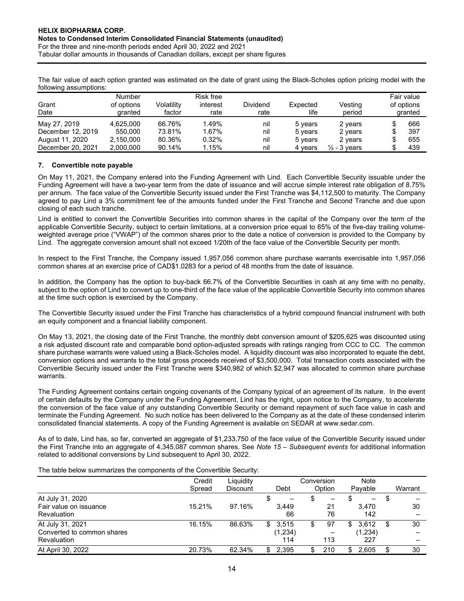The fair value of each option granted was estimated on the date of grant using the Black-Scholes option pricing model with the following assumptions:

| Grant<br>Date     | Number<br>of options<br>granted | Volatilitv<br>factor | Risk free<br>interest<br>rate | Dividend<br>rate | Expected<br>life | Vesting<br>period       | Fair value<br>of options<br>granted |
|-------------------|---------------------------------|----------------------|-------------------------------|------------------|------------------|-------------------------|-------------------------------------|
| May 27, 2019      | 4.625.000                       | 66.76%               | 1.49%                         | nil              | 5 years          | 2 years                 | 666                                 |
| December 12, 2019 | 550,000                         | 73.81%               | 1.67%                         | nil              | 5 years          | 2 years                 | 397                                 |
| August 11, 2020   | 2.150.000                       | 80.36%               | 0.32%                         | nil              | 5 years          | 2 years                 | 655                                 |
| December 20, 2021 | 2,000,000                       | 90.14%               | l.15%                         | nil              | 4 vears          | $\frac{1}{2}$ - 3 vears | 439                                 |

# 7. Convertible note payable

On May 11, 2021, the Company entered into the Funding Agreement with Lind. Each Convertible Security issuable under the Funding Agreement will have a two-year term from the date of issuance and will accrue simple interest rate obligation of 8.75% per annum. The face value of the Convertible Security issued under the First Tranche was \$4,112,500 to maturity. The Company agreed to pay Lind a 3% commitment fee of the amounts funded under the First Tranche and Second Tranche and due upon closing of each such tranche.

Lind is entitled to convert the Convertible Securities into common shares in the capital of the Company over the term of the applicable Convertible Security, subject to certain limitations, at a conversion price equal to 85% of the five-day trailing volumeweighted average price ("VWAP") of the common shares prior to the date a notice of conversion is provided to the Company by Lind. The aggregate conversion amount shall not exceed 1/20th of the face value of the Convertible Security per month.

In respect to the First Tranche, the Company issued 1,957,056 common share purchase warrants exercisable into 1,957,056 common shares at an exercise price of CAD\$1.0283 for a period of 48 months from the date of issuance.

In addition, the Company has the option to buy-back 66.7% of the Convertible Securities in cash at any time with no penalty, subject to the option of Lind to convert up to one-third of the face value of the applicable Convertible Security into common shares at the time such option is exercised by the Company.

The Convertible Security issued under the First Tranche has characteristics of a hybrid compound financial instrument with both an equity component and a financial liability component.

On May 13, 2021, the closing date of the First Tranche, the monthly debt conversion amount of \$205,625 was discounted using a risk adjusted discount rate and comparable bond option-adjusted spreads with ratings ranging from CCC to CC. The common share purchase warrants were valued using a Black-Scholes model. A liquidity discount was also incorporated to equate the debt, conversion options and warrants to the total gross proceeds received of \$3,500,000. Total transaction costs associated with the Convertible Security issued under the First Tranche were \$340,982 of which \$2,947 was allocated to common share purchase warrants.

The Funding Agreement contains certain ongoing covenants of the Company typical of an agreement of its nature. In the event of certain defaults by the Company under the Funding Agreement, Lind has the right, upon notice to the Company, to accelerate the conversion of the face value of any outstanding Convertible Security or demand repayment of such face value in cash and terminate the Funding Agreement. No such notice has been delivered to the Company as at the date of these condensed interim consolidated financial statements. A copy of the Funding Agreement is available on SEDAR at www.sedar.com.

As of to date, Lind has, so far, converted an aggregate of \$1,233,750 of the face value of the Convertible Security issued under the First Tranche into an aggregate of 4,345,087 common shares. See Note 15 – Subsequent events for additional information related to additional conversions by Lind subsequent to April 30, 2022.

The table below summarizes the components of the Convertible Security:

|                            | Credit | Liquidity       |                               | Conversion | Note                     |         |
|----------------------------|--------|-----------------|-------------------------------|------------|--------------------------|---------|
|                            | Spread | <b>Discount</b> | Debt                          | Option     | Pavable                  | Warrant |
| At July 31, 2020           |        |                 | S<br>$\overline{\phantom{m}}$ |            | $\overline{\phantom{0}}$ | S       |
| Fair value on issuance     | 15.21% | 97.16%          | 3.449                         | 21         | 3.470                    | 30      |
| Revaluation                |        |                 | 66                            | 76         | 142                      |         |
| At July 31, 2021           | 16.15% | 86.63%          | 3,515<br>\$                   | 97<br>S    | 3.612<br>\$.             | 30      |
| Converted to common shares |        |                 | (1,234)                       |            | (1,234)                  |         |
| Revaluation                |        |                 | 114                           | 113        | 227                      |         |
| At April 30, 2022          | 20.73% | 62.34%          | 2.395<br>S.                   | 210        | 2.605                    | 30      |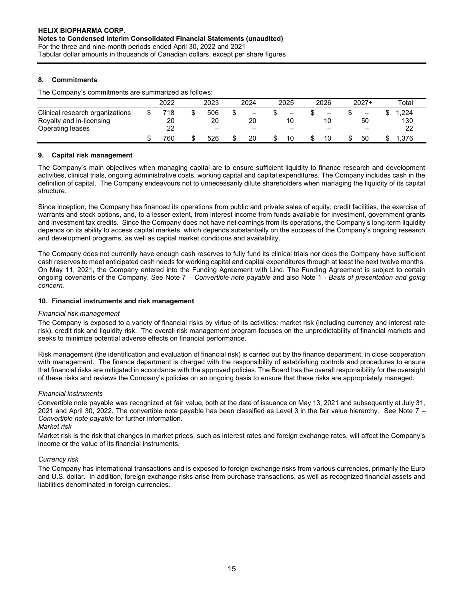# 8. Commitments

The Company's commitments are summarized as follows:

|                                 | 2022 | 2023                     | 2024                         | 2025                         | 2026                         | $2027+$ | $\tau$ otal |
|---------------------------------|------|--------------------------|------------------------------|------------------------------|------------------------------|---------|-------------|
| Clinical research organizations | 718  | 506                      | $\qquad \qquad \blacksquare$ | $\qquad \qquad \blacksquare$ | $\qquad \qquad \blacksquare$ | -       | .224        |
| Royalty and in-licensing        | 20   | 20                       | 20                           | 10                           | 10                           | 50      | 130         |
| Operating leases                | 22   | $\overline{\phantom{m}}$ | $\overline{\phantom{0}}$     | $\overline{\phantom{0}}$     | -                            |         | 22          |
|                                 | 760  | 526                      | 20                           | 10                           | 10                           | 50      | .376        |

# 9. Capital risk management

The Company's main objectives when managing capital are to ensure sufficient liquidity to finance research and development activities, clinical trials, ongoing administrative costs, working capital and capital expenditures. The Company includes cash in the definition of capital. The Company endeavours not to unnecessarily dilute shareholders when managing the liquidity of its capital structure.

Since inception, the Company has financed its operations from public and private sales of equity, credit facilities, the exercise of warrants and stock options, and, to a lesser extent, from interest income from funds available for investment, government grants and investment tax credits. Since the Company does not have net earnings from its operations, the Company's long-term liquidity depends on its ability to access capital markets, which depends substantially on the success of the Company's ongoing research and development programs, as well as capital market conditions and availability.

The Company does not currently have enough cash reserves to fully fund its clinical trials nor does the Company have sufficient cash reserves to meet anticipated cash needs for working capital and capital expenditures through at least the next twelve months. On May 11, 2021, the Company entered into the Funding Agreement with Lind. The Funding Agreement is subject to certain ongoing covenants of the Company. See Note 7 – Convertible note payable and also Note 1 - Basis of presentation and going concern.

# 10. Financial instruments and risk management

# Financial risk management

The Company is exposed to a variety of financial risks by virtue of its activities: market risk (including currency and interest rate risk), credit risk and liquidity risk. The overall risk management program focuses on the unpredictability of financial markets and seeks to minimize potential adverse effects on financial performance.

Risk management (the identification and evaluation of financial risk) is carried out by the finance department, in close cooperation with management. The finance department is charged with the responsibility of establishing controls and procedures to ensure that financial risks are mitigated in accordance with the approved policies. The Board has the overall responsibility for the oversight of these risks and reviews the Company's policies on an ongoing basis to ensure that these risks are appropriately managed.

# Financial instruments

Convertible note payable was recognized at fair value, both at the date of issuance on May 13, 2021 and subsequently at July 31, 2021 and April 30, 2022. The convertible note payable has been classified as Level 3 in the fair value hierarchy. See Note 7 – Convertible note payable for further information.

#### Market risk

Market risk is the risk that changes in market prices, such as interest rates and foreign exchange rates, will affect the Company's income or the value of its financial instruments.

# Currency risk

The Company has international transactions and is exposed to foreign exchange risks from various currencies, primarily the Euro and U.S. dollar. In addition, foreign exchange risks arise from purchase transactions, as well as recognized financial assets and liabilities denominated in foreign currencies.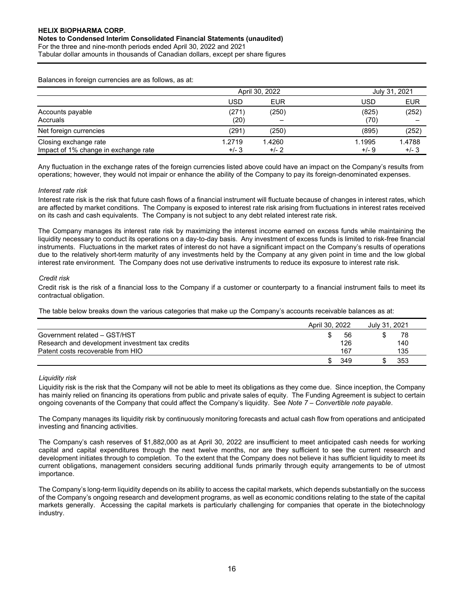Tabular dollar amounts in thousands of Canadian dollars, except per share figures

Balances in foreign currencies are as follows, as at:

|                                                               |                  | April 30, 2022   |                  |                  |  |  |  |
|---------------------------------------------------------------|------------------|------------------|------------------|------------------|--|--|--|
|                                                               | USD              | <b>EUR</b>       | USD              | <b>EUR</b>       |  |  |  |
| Accounts payable<br>Accruals                                  | (271)<br>(20)    | (250)            | (825)<br>(70)    | (252)            |  |  |  |
| Net foreign currencies                                        | (291)            | (250)            | (895)            | (252)            |  |  |  |
| Closing exchange rate<br>Impact of 1% change in exchange rate | 1.2719<br>$+/-3$ | 1.4260<br>$+/-2$ | 1.1995<br>$+/-9$ | 1.4788<br>$+/-3$ |  |  |  |

Any fluctuation in the exchange rates of the foreign currencies listed above could have an impact on the Company's results from operations; however, they would not impair or enhance the ability of the Company to pay its foreign-denominated expenses.

# Interest rate risk

Interest rate risk is the risk that future cash flows of a financial instrument will fluctuate because of changes in interest rates, which are affected by market conditions. The Company is exposed to interest rate risk arising from fluctuations in interest rates received on its cash and cash equivalents. The Company is not subject to any debt related interest rate risk.

The Company manages its interest rate risk by maximizing the interest income earned on excess funds while maintaining the liquidity necessary to conduct its operations on a day-to-day basis. Any investment of excess funds is limited to risk-free financial instruments. Fluctuations in the market rates of interest do not have a significant impact on the Company's results of operations due to the relatively short-term maturity of any investments held by the Company at any given point in time and the low global interest rate environment. The Company does not use derivative instruments to reduce its exposure to interest rate risk.

## Credit risk

Credit risk is the risk of a financial loss to the Company if a customer or counterparty to a financial instrument fails to meet its contractual obligation.

The table below breaks down the various categories that make up the Company's accounts receivable balances as at:

|                                                 | April 30, 2022 | July 31, 2021 |
|-------------------------------------------------|----------------|---------------|
| Government related - GST/HST                    | 56             | 78            |
| Research and development investment tax credits | 126            | 140           |
| Patent costs recoverable from HIO               | 167            | 135           |
|                                                 | 349            | 353           |

# Liquidity risk

Liquidity risk is the risk that the Company will not be able to meet its obligations as they come due. Since inception, the Company has mainly relied on financing its operations from public and private sales of equity. The Funding Agreement is subject to certain ongoing covenants of the Company that could affect the Company's liquidity. See Note 7 – Convertible note payable.

The Company manages its liquidity risk by continuously monitoring forecasts and actual cash flow from operations and anticipated investing and financing activities.

The Company's cash reserves of \$1,882,000 as at April 30, 2022 are insufficient to meet anticipated cash needs for working capital and capital expenditures through the next twelve months, nor are they sufficient to see the current research and development initiates through to completion. To the extent that the Company does not believe it has sufficient liquidity to meet its current obligations, management considers securing additional funds primarily through equity arrangements to be of utmost importance.

The Company's long-term liquidity depends on its ability to access the capital markets, which depends substantially on the success of the Company's ongoing research and development programs, as well as economic conditions relating to the state of the capital markets generally. Accessing the capital markets is particularly challenging for companies that operate in the biotechnology industry.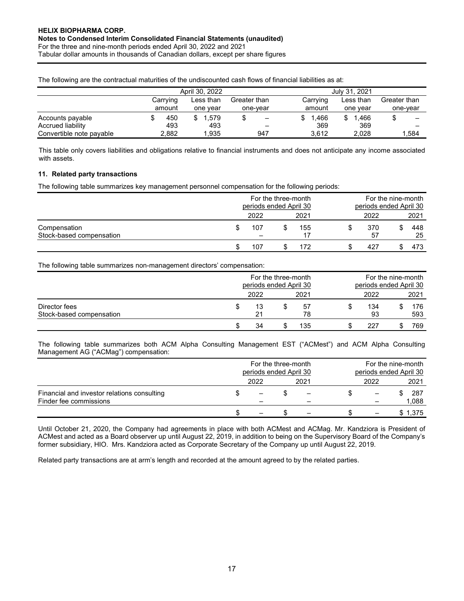Tabular dollar amounts in thousands of Canadian dollars, except per share figures

The following are the contractual maturities of the undiscounted cash flows of financial liabilities as at:

|                          |          | April 30, 2022 |              | July 31, 2021 |           |              |  |  |
|--------------------------|----------|----------------|--------------|---------------|-----------|--------------|--|--|
|                          | Carrying | Less than      | Greater than | Carrying      | Less than | Greater than |  |  |
|                          | amount   | one vear       | one-vear     | amount        | one vear  | one-vear     |  |  |
| Accounts payable         | 450      | 1.579<br>\$.   | -            | .466          | 1.466     |              |  |  |
| Accrued liability        | 493      | 493            | -            | 369           | 369       |              |  |  |
| Convertible note payable | 2.882    | 1.935          | 947          | 3.612         | 2.028     | 1.584        |  |  |

This table only covers liabilities and obligations relative to financial instruments and does not anticipate any income associated with assets.

# 11. Related party transactions

The following table summarizes key management personnel compensation for the following periods:

|                                          | periods ended April 30 | For the three-month |      |   | For the nine-month<br>periods ended April 30 |  |           |  |
|------------------------------------------|------------------------|---------------------|------|---|----------------------------------------------|--|-----------|--|
|                                          | 2022                   |                     | 2021 |   | 2022                                         |  | 2021      |  |
| Compensation<br>Stock-based compensation | 107                    |                     | 155  | S | 370<br>57                                    |  | 448<br>25 |  |
|                                          | 107                    |                     | 172  |   | 427                                          |  | 473       |  |

The following table summarizes non-management directors' compensation:

|                                           |   |              | For the three-month<br>periods ended April 30 |          |  | For the nine-month<br>periods ended April 30 |  |            |  |
|-------------------------------------------|---|--------------|-----------------------------------------------|----------|--|----------------------------------------------|--|------------|--|
|                                           |   | 2021<br>2022 |                                               |          |  | 2022                                         |  | 2021       |  |
| Director fees<br>Stock-based compensation | Œ | 13<br>21     |                                               | 57<br>78 |  | 134<br>93                                    |  | 176<br>593 |  |
|                                           |   | 34           |                                               | 135      |  | 227                                          |  | 769        |  |

The following table summarizes both ACM Alpha Consulting Management EST ("ACMest") and ACM Alpha Consulting Management AG ("ACMag") compensation:

|                                                                       |              |  |  | For the three-month<br>periods ended April 30 |  |      | For the nine-month<br>periods ended April 30 |              |
|-----------------------------------------------------------------------|--------------|--|--|-----------------------------------------------|--|------|----------------------------------------------|--------------|
|                                                                       | 2021<br>2022 |  |  |                                               |  | 2022 |                                              |              |
| Financial and investor relations consulting<br>Finder fee commissions |              |  |  |                                               |  |      |                                              | 287<br>1,088 |
|                                                                       |              |  |  |                                               |  |      |                                              | \$1,375      |

Until October 21, 2020, the Company had agreements in place with both ACMest and ACMag. Mr. Kandziora is President of ACMest and acted as a Board observer up until August 22, 2019, in addition to being on the Supervisory Board of the Company's former subsidiary, HIO. Mrs. Kandziora acted as Corporate Secretary of the Company up until August 22, 2019.

Related party transactions are at arm's length and recorded at the amount agreed to by the related parties.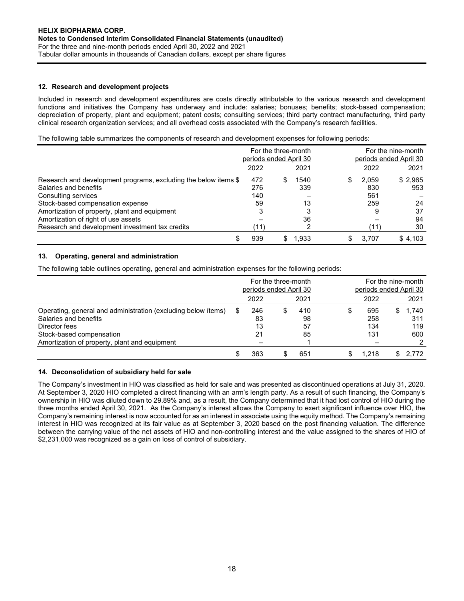# 12. Research and development projects

Included in research and development expenditures are costs directly attributable to the various research and development functions and initiatives the Company has underway and include: salaries; bonuses; benefits; stock-based compensation; depreciation of property, plant and equipment; patent costs; consulting services; third party contract manufacturing, third party clinical research organization services; and all overhead costs associated with the Company's research facilities.

The following table summarizes the components of research and development expenses for following periods:

|                                                                 | periods ended April 30 | For the three-month |       |   |       | For the nine-month<br>periods ended April 30 |  |
|-----------------------------------------------------------------|------------------------|---------------------|-------|---|-------|----------------------------------------------|--|
|                                                                 | 2022                   |                     | 2021  |   | 2022  | 2021                                         |  |
| Research and development programs, excluding the below items \$ | 472                    |                     | 1540  | S | 2,059 | \$2,965                                      |  |
| Salaries and benefits                                           | 276                    |                     | 339   |   | 830   | 953                                          |  |
| Consulting services                                             | 140                    |                     |       |   | 561   |                                              |  |
| Stock-based compensation expense                                | 59                     |                     | 13    |   | 259   | 24                                           |  |
| Amortization of property, plant and equipment                   | 3                      |                     | 3     |   | 9     | 37                                           |  |
| Amortization of right of use assets                             |                        |                     | 36    |   |       | 94                                           |  |
| Research and development investment tax credits                 | (11)                   |                     | っ     |   |       | 30                                           |  |
| S                                                               | 939                    |                     | 1.933 |   | 3.707 | \$4.103                                      |  |

# 13. Operating, general and administration

The following table outlines operating, general and administration expenses for the following periods:

|                                                               |   | periods ended April 30 | For the three-month |      | For the nine-month<br>periods ended April 30 |       |     |       |  |
|---------------------------------------------------------------|---|------------------------|---------------------|------|----------------------------------------------|-------|-----|-------|--|
|                                                               |   | 2022                   |                     | 2021 |                                              | 2022  |     | 2021  |  |
| Operating, general and administration (excluding below items) | S | 246                    |                     | 410  |                                              | 695   | \$. | 1,740 |  |
| Salaries and benefits                                         |   | 83                     |                     | 98   |                                              | 258   |     | 311   |  |
| Director fees                                                 |   | 13                     |                     | 57   |                                              | 134   |     | 119   |  |
| Stock-based compensation                                      |   | 21                     |                     | 85   |                                              | 131   |     | 600   |  |
| Amortization of property, plant and equipment                 |   |                        |                     |      |                                              |       |     |       |  |
|                                                               |   | 363                    |                     | 651  |                                              | 1.218 |     | 2.772 |  |

#### 14. Deconsolidation of subsidiary held for sale

The Company's investment in HIO was classified as held for sale and was presented as discontinued operations at July 31, 2020. At September 3, 2020 HIO completed a direct financing with an arm's length party. As a result of such financing, the Company's ownership in HIO was diluted down to 29.89% and, as a result, the Company determined that it had lost control of HIO during the three months ended April 30, 2021. As the Company's interest allows the Company to exert significant influence over HIO, the Company's remaining interest is now accounted for as an interest in associate using the equity method. The Company's remaining interest in HIO was recognized at its fair value as at September 3, 2020 based on the post financing valuation. The difference between the carrying value of the net assets of HIO and non-controlling interest and the value assigned to the shares of HIO of \$2,231,000 was recognized as a gain on loss of control of subsidiary.